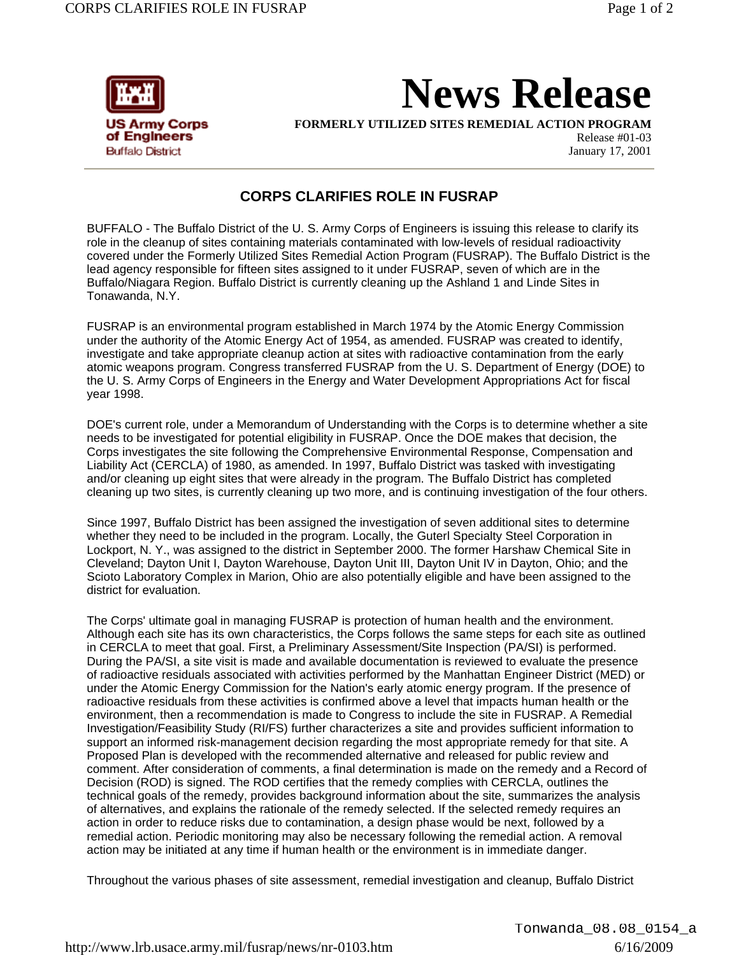

**News Release**

**FORMERLY UTILIZED SITES REMEDIAL ACTION PROGRAM**

Release #01-03 January 17, 2001

## **CORPS CLARIFIES ROLE IN FUSRAP**

BUFFALO - The Buffalo District of the U. S. Army Corps of Engineers is issuing this release to clarify its role in the cleanup of sites containing materials contaminated with low-levels of residual radioactivity covered under the Formerly Utilized Sites Remedial Action Program (FUSRAP). The Buffalo District is the lead agency responsible for fifteen sites assigned to it under FUSRAP, seven of which are in the Buffalo/Niagara Region. Buffalo District is currently cleaning up the Ashland 1 and Linde Sites in Tonawanda, N.Y.

FUSRAP is an environmental program established in March 1974 by the Atomic Energy Commission under the authority of the Atomic Energy Act of 1954, as amended. FUSRAP was created to identify, investigate and take appropriate cleanup action at sites with radioactive contamination from the early atomic weapons program. Congress transferred FUSRAP from the U. S. Department of Energy (DOE) to the U. S. Army Corps of Engineers in the Energy and Water Development Appropriations Act for fiscal year 1998.

DOE's current role, under a Memorandum of Understanding with the Corps is to determine whether a site needs to be investigated for potential eligibility in FUSRAP. Once the DOE makes that decision, the Corps investigates the site following the Comprehensive Environmental Response, Compensation and Liability Act (CERCLA) of 1980, as amended. In 1997, Buffalo District was tasked with investigating and/or cleaning up eight sites that were already in the program. The Buffalo District has completed cleaning up two sites, is currently cleaning up two more, and is continuing investigation of the four others.

Since 1997, Buffalo District has been assigned the investigation of seven additional sites to determine whether they need to be included in the program. Locally, the Guterl Specialty Steel Corporation in Lockport, N. Y., was assigned to the district in September 2000. The former Harshaw Chemical Site in Cleveland; Dayton Unit I, Dayton Warehouse, Dayton Unit III, Dayton Unit IV in Dayton, Ohio; and the Scioto Laboratory Complex in Marion, Ohio are also potentially eligible and have been assigned to the district for evaluation.

The Corps' ultimate goal in managing FUSRAP is protection of human health and the environment. Although each site has its own characteristics, the Corps follows the same steps for each site as outlined in CERCLA to meet that goal. First, a Preliminary Assessment/Site Inspection (PA/SI) is performed. During the PA/SI, a site visit is made and available documentation is reviewed to evaluate the presence of radioactive residuals associated with activities performed by the Manhattan Engineer District (MED) or under the Atomic Energy Commission for the Nation's early atomic energy program. If the presence of radioactive residuals from these activities is confirmed above a level that impacts human health or the environment, then a recommendation is made to Congress to include the site in FUSRAP. A Remedial Investigation/Feasibility Study (RI/FS) further characterizes a site and provides sufficient information to support an informed risk-management decision regarding the most appropriate remedy for that site. A Proposed Plan is developed with the recommended alternative and released for public review and comment. After consideration of comments, a final determination is made on the remedy and a Record of Decision (ROD) is signed. The ROD certifies that the remedy complies with CERCLA, outlines the technical goals of the remedy, provides background information about the site, summarizes the analysis of alternatives, and explains the rationale of the remedy selected. If the selected remedy requires an action in order to reduce risks due to contamination, a design phase would be next, followed by a remedial action. Periodic monitoring may also be necessary following the remedial action. A removal action may be initiated at any time if human health or the environment is in immediate danger.

Throughout the various phases of site assessment, remedial investigation and cleanup, Buffalo District